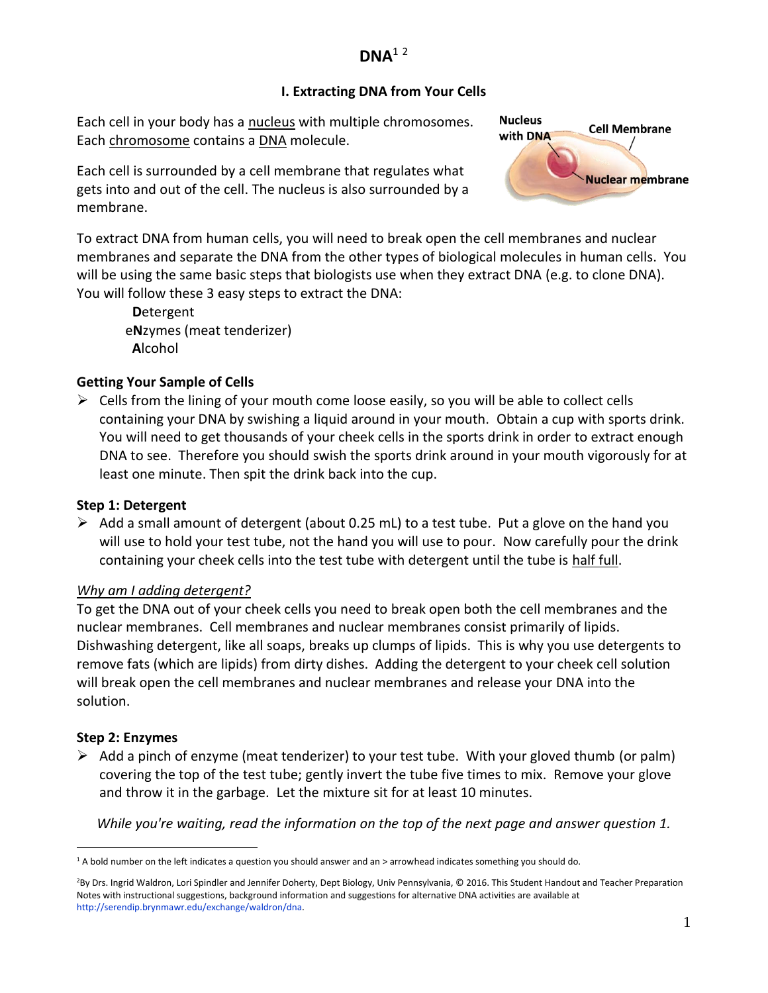# **DNA**<sup>1</sup> <sup>2</sup>

### **I. Extracting DNA from Your Cells**

Each cell in your body has a nucleus with multiple chromosomes. Each chromosome contains a DNA molecule.

Each cell is surrounded by a cell membrane that regulates what gets into and out of the cell. The nucleus is also surrounded by a membrane.



To extract DNA from human cells, you will need to break open the cell membranes and nuclear membranes and separate the DNA from the other types of biological molecules in human cells. You will be using the same basic steps that biologists use when they extract DNA (e.g. to clone DNA). You will follow these 3 easy steps to extract the DNA:

**D**etergent e**N**zymes (meat tenderizer) **A**lcohol

## **Getting Your Sample of Cells**

 $\triangleright$  Cells from the lining of your mouth come loose easily, so you will be able to collect cells containing your DNA by swishing a liquid around in your mouth. Obtain a cup with sports drink. You will need to get thousands of your cheek cells in the sports drink in order to extract enough DNA to see. Therefore you should swish the sports drink around in your mouth vigorously for at least one minute. Then spit the drink back into the cup.

### **Step 1: Detergent**

 $\triangleright$  Add a small amount of detergent (about 0.25 mL) to a test tube. Put a glove on the hand you will use to hold your test tube, not the hand you will use to pour. Now carefully pour the drink containing your cheek cells into the test tube with detergent until the tube is half full.

## *Why am I adding detergent?*

To get the DNA out of your cheek cells you need to break open both the cell membranes and the nuclear membranes. Cell membranes and nuclear membranes consist primarily of lipids. Dishwashing detergent, like all soaps, breaks up clumps of lipids. This is why you use detergents to remove fats (which are lipids) from dirty dishes. Adding the detergent to your cheek cell solution will break open the cell membranes and nuclear membranes and release your DNA into the solution.

### **Step 2: Enzymes**

 $\triangleright$  Add a pinch of enzyme (meat tenderizer) to your test tube. With your gloved thumb (or palm) covering the top of the test tube; gently invert the tube five times to mix. Remove your glove and throw it in the garbage. Let the mixture sit for at least 10 minutes.

*While you're waiting, read the information on the top of the next page and answer question 1.*

 $\overline{a}$ <sup>1</sup> A bold number on the left indicates a question you should answer and an > arrowhead indicates something you should do.

<sup>2</sup>By Drs. Ingrid Waldron, Lori Spindler and Jennifer Doherty, Dept Biology, Univ Pennsylvania, © 2016. This Student Handout and Teacher Preparation Notes with instructional suggestions, background information and suggestions for alternative DNA activities are available at [http://serendip.brynmawr.edu/exchange/waldron/dna.](http://serendip.brynmawr.edu/exchange/waldron/dna)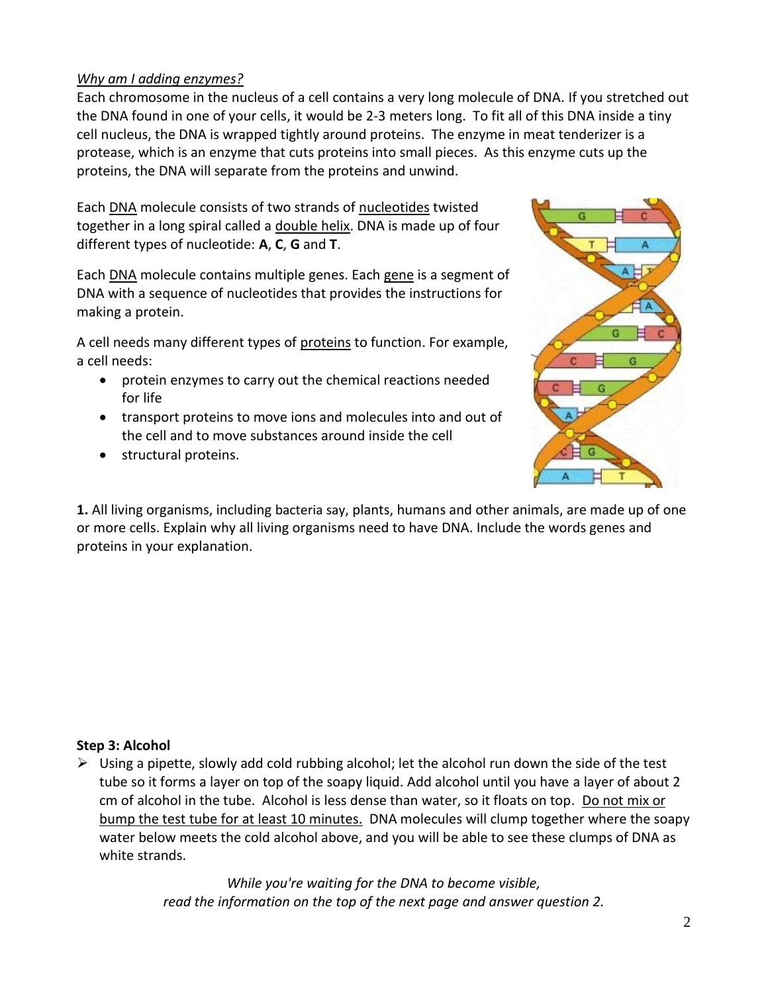### *Why am I adding enzymes?*

Each chromosome in the nucleus of a cell contains a very long molecule of DNA. If you stretched out the DNA found in one of your cells, it would be 2-3 meters long. To fit all of this DNA inside a tiny cell nucleus, the DNA is wrapped tightly around proteins. The enzyme in meat tenderizer is a protease, which is an enzyme that cuts proteins into small pieces. As this enzyme cuts up the proteins, the DNA will separate from the proteins and unwind.

Each DNA molecule consists of two strands of nucleotides twisted together in a long spiral called a double helix. DNA is made up of four different types of nucleotide: **A**, **C**, **G** and **T**.

Each DNA molecule contains multiple genes. Each gene is a segment of DNA with a sequence of nucleotides that provides the instructions for making a protein.

A cell needs many different types of proteins to function. For example, a cell needs:

- protein enzymes to carry out the chemical reactions needed for life
- transport proteins to move ions and molecules into and out of the cell and to move substances around inside the cell
- **•** structural proteins.



**1.** All living organisms, including bacteria say, plants, humans and other animals, are made up of one or more cells. Explain why all living organisms need to have DNA. Include the words genes and proteins in your explanation.

### **Step 3: Alcohol**

 $\triangleright$  Using a pipette, slowly add cold rubbing alcohol; let the alcohol run down the side of the test tube so it forms a layer on top of the soapy liquid. Add alcohol until you have a layer of about 2 cm of alcohol in the tube. Alcohol is less dense than water, so it floats on top. Do not mix or bump the test tube for at least 10 minutes. DNA molecules will clump together where the soapy water below meets the cold alcohol above, and you will be able to see these clumps of DNA as white strands.

> *While you're waiting for the DNA to become visible, read the information on the top of the next page and answer question 2.*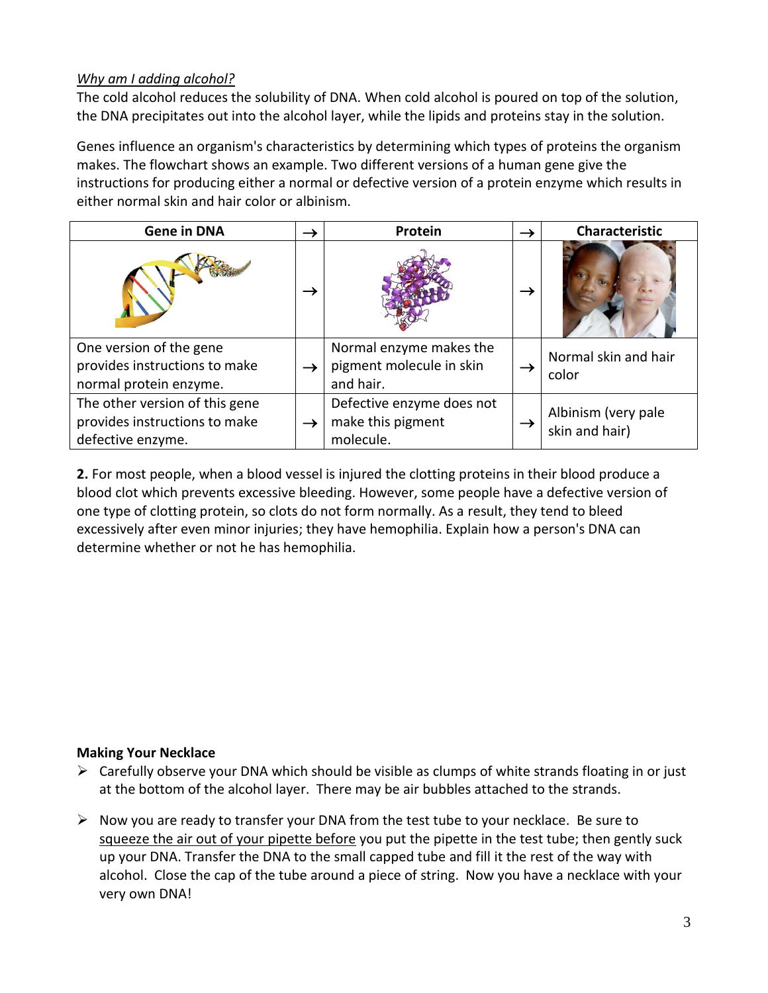### *Why am I adding alcohol?*

The cold alcohol reduces the solubility of DNA. When cold alcohol is poured on top of the solution, the DNA precipitates out into the alcohol layer, while the lipids and proteins stay in the solution.

Genes influence an organism's characteristics by determining which types of proteins the organism makes. The flowchart shows an example. Two different versions of a human gene give the instructions for producing either a normal or defective version of a protein enzyme which results in either normal skin and hair color or albinism.

| <b>Gene in DNA</b>                                                                   | $\rightarrow$ | Protein                                                          |               | Characteristic                        |
|--------------------------------------------------------------------------------------|---------------|------------------------------------------------------------------|---------------|---------------------------------------|
|                                                                                      | $\rightarrow$ |                                                                  | $\rightarrow$ |                                       |
| One version of the gene<br>provides instructions to make<br>normal protein enzyme.   | $\rightarrow$ | Normal enzyme makes the<br>pigment molecule in skin<br>and hair. | $\rightarrow$ | Normal skin and hair<br>color         |
| The other version of this gene<br>provides instructions to make<br>defective enzyme. | $\rightarrow$ | Defective enzyme does not<br>make this pigment<br>molecule.      | $\rightarrow$ | Albinism (very pale<br>skin and hair) |

**2.** For most people, when a blood vessel is injured the clotting proteins in their blood produce a blood clot which prevents excessive bleeding. However, some people have a defective version of one type of clotting protein, so clots do not form normally. As a result, they tend to bleed excessively after even minor injuries; they have hemophilia. Explain how a person's DNA can determine whether or not he has hemophilia.

### **Making Your Necklace**

- $\triangleright$  Carefully observe your DNA which should be visible as clumps of white strands floating in or just at the bottom of the alcohol layer. There may be air bubbles attached to the strands.
- $\triangleright$  Now you are ready to transfer your DNA from the test tube to your necklace. Be sure to squeeze the air out of your pipette before you put the pipette in the test tube; then gently suck up your DNA. Transfer the DNA to the small capped tube and fill it the rest of the way with alcohol. Close the cap of the tube around a piece of string. Now you have a necklace with your very own DNA!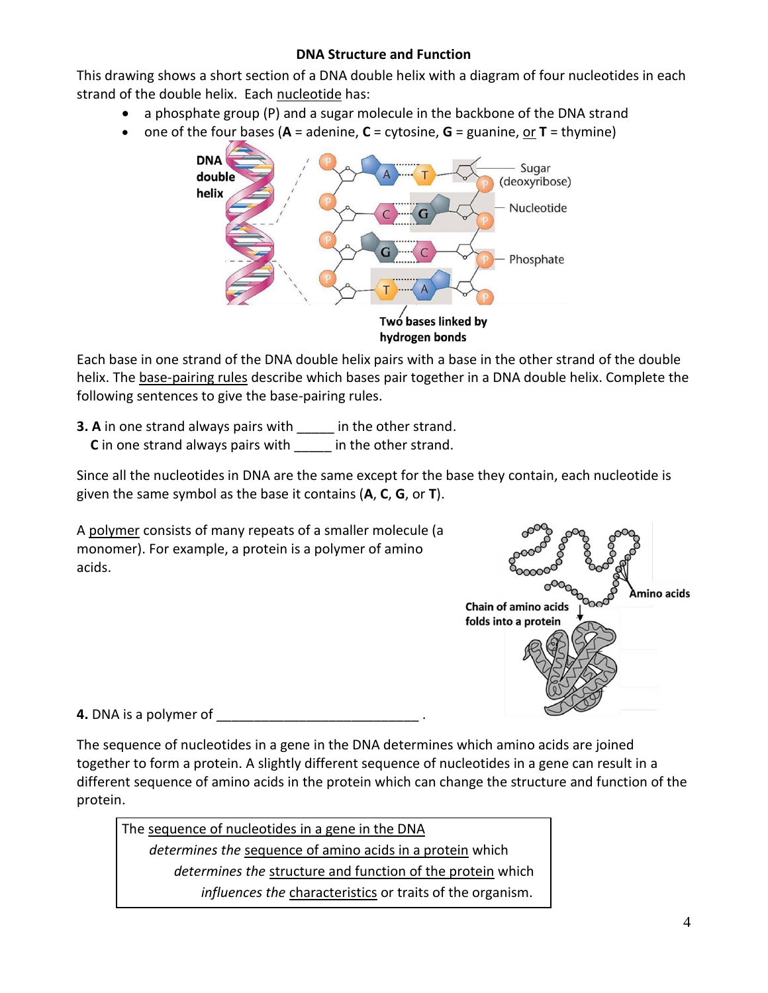### **DNA Structure and Function**

This drawing shows a short section of a DNA double helix with a diagram of four nucleotides in each strand of the double helix. Each nucleotide has:

- a phosphate group (P) and a sugar molecule in the backbone of the DNA strand
- one of the four bases (**A** = adenine, **C** = cytosine, **G** = guanine, or **T** = thymine)



hydrogen bonds

Each base in one strand of the DNA double helix pairs with a base in the other strand of the double helix. The **base-pairing rules** describe which bases pair together in a DNA double helix. Complete the following sentences to give the base-pairing rules.

**3. A** in one strand always pairs with in the other strand. **C** in one strand always pairs with  $\blacksquare$  in the other strand.

Since all the nucleotides in DNA are the same except for the base they contain, each nucleotide is given the same symbol as the base it contains (**A**, **C**, **G**, or **T**).

A polymer consists of many repeats of a smaller molecule (a monomer). For example, a protein is a polymer of amino acids.



**4.** DNA is a polymer of

The sequence of nucleotides in a gene in the DNA determines which amino acids are joined together to form a protein. A slightly different sequence of nucleotides in a gene can result in a different sequence of amino acids in the protein which can change the structure and function of the protein.

The sequence of nucleotides in a gene in the DNA *determines the* sequence of amino acids in a protein which *determines the* structure and function of the protein which *influences the* characteristics or traits of the organism.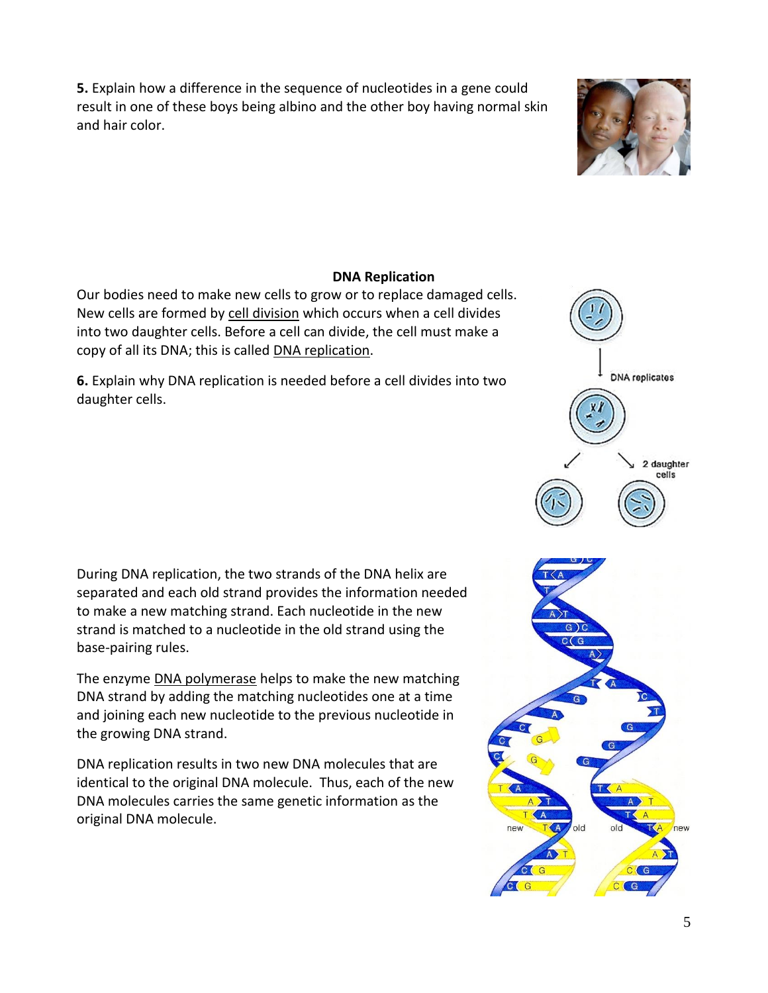**5.** Explain how a difference in the sequence of nucleotides in a gene could result in one of these boys being albino and the other boy having normal skin and hair color.

#### **DNA Replication**

Our bodies need to make new cells to grow or to replace damaged cells. New cells are formed by cell division which occurs when a cell divides into two daughter cells. Before a cell can divide, the cell must make a copy of all its DNA; this is called DNA replication.

**6.** Explain why DNA replication is needed before a cell divides into two daughter cells.

During DNA replication, the two strands of the DNA helix are separated and each old strand provides the information needed to make a new matching strand. Each nucleotide in the new strand is matched to a nucleotide in the old strand using the base-pairing rules.

The enzyme **DNA polymerase** helps to make the new matching DNA strand by adding the matching nucleotides one at a time and joining each new nucleotide to the previous nucleotide in the growing DNA strand.

DNA replication results in two new DNA molecules that are identical to the original DNA molecule. Thus, each of the new DNA molecules carries the same genetic information as the original DNA molecule.